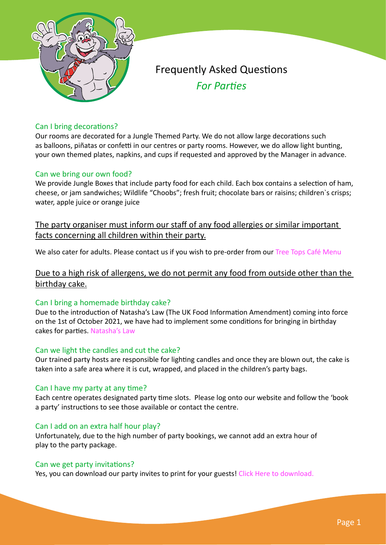

# Frequently Asked Questions *For Parties*

# Can I bring decorations?

Our rooms are decorated for a Jungle Themed Party. We do not allow large decorations such as balloons, piñatas or confetti in our centres or party rooms. However, we do allow light bunting, your own themed plates, napkins, and cups if requested and approved by the Manager in advance.

# Can we bring our own food?

We provide Jungle Boxes that include party food for each child. Each box contains a selection of ham, cheese, or jam sandwiches; Wildlife "Choobs"; fresh fruit; chocolate bars or raisins; children`s crisps; water, apple juice or orange juice

The party organiser must inform our staff of any food allergies or similar important facts concerning all children within their party.

We also cater for adults. Please contact us if you wish to pre-order from our [Tree Tops Café Menu](http://www.jungle-mania.co.uk/menu-jm-2022.pdf)

Due to a high risk of allergens, we do not permit any food from outside other than the birthday cake.

# Can I bring a homemade birthday cake?

Due to the introduction of Natasha's Law (The UK Food Information Amendment) coming into force on the 1st of October 2021, we have had to implement some conditions for bringing in birthday cakes for parties. [Natasha's Law](http://www.jungle-mania.co.uk/natashas-law.pdf)

# Can we light the candles and cut the cake?

Our trained party hosts are responsible for lighting candles and once they are blown out, the cake is taken into a safe area where it is cut, wrapped, and placed in the children's party bags.

# Can I have my party at any time?

Each centre operates designated party time slots. Please log onto our website and follow the 'book a party' instructions to see those available or contact the centre.

# Can I add on an extra half hour play?

Unfortunately, due to the high number of party bookings, we cannot add an extra hour of play to the party package.

# Can we get party invitations?

Yes, you can download our party invites to print for your guests! [Click Here to download.](http://jungle-mania.co.uk/party_invite.pdf)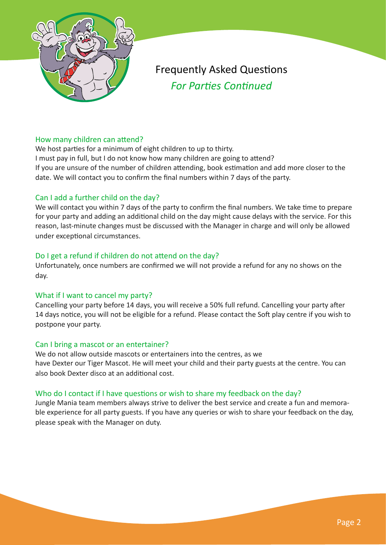

# Frequently Asked Questions *For Parties Continued*

# How many children can attend?

We host parties for a minimum of eight children to up to thirty. I must pay in full, but I do not know how many children are going to attend? If you are unsure of the number of children attending, book estimation and add more closer to the date. We will contact you to confirm the final numbers within 7 days of the party.

# Can I add a further child on the day?

We will contact you within 7 days of the party to confirm the final numbers. We take time to prepare for your party and adding an additional child on the day might cause delays with the service. For this reason, last-minute changes must be discussed with the Manager in charge and will only be allowed under exceptional circumstances.

# Do I get a refund if children do not attend on the day?

Unfortunately, once numbers are confirmed we will not provide a refund for any no shows on the day.

# What if I want to cancel my party?

Cancelling your party before 14 days, you will receive a 50% full refund. Cancelling your party after 14 days notice, you will not be eligible for a refund. Please contact the Soft play centre if you wish to postpone your party.

# Can I bring a mascot or an entertainer?

We do not allow outside mascots or entertainers into the centres, as we have Dexter our Tiger Mascot. He will meet your child and their party guests at the centre. You can also book Dexter disco at an additional cost.

# Who do I contact if I have questions or wish to share my feedback on the day?

Jungle Mania team members always strive to deliver the best service and create a fun and memorable experience for all party guests. If you have any queries or wish to share your feedback on the day, please speak with the Manager on duty.